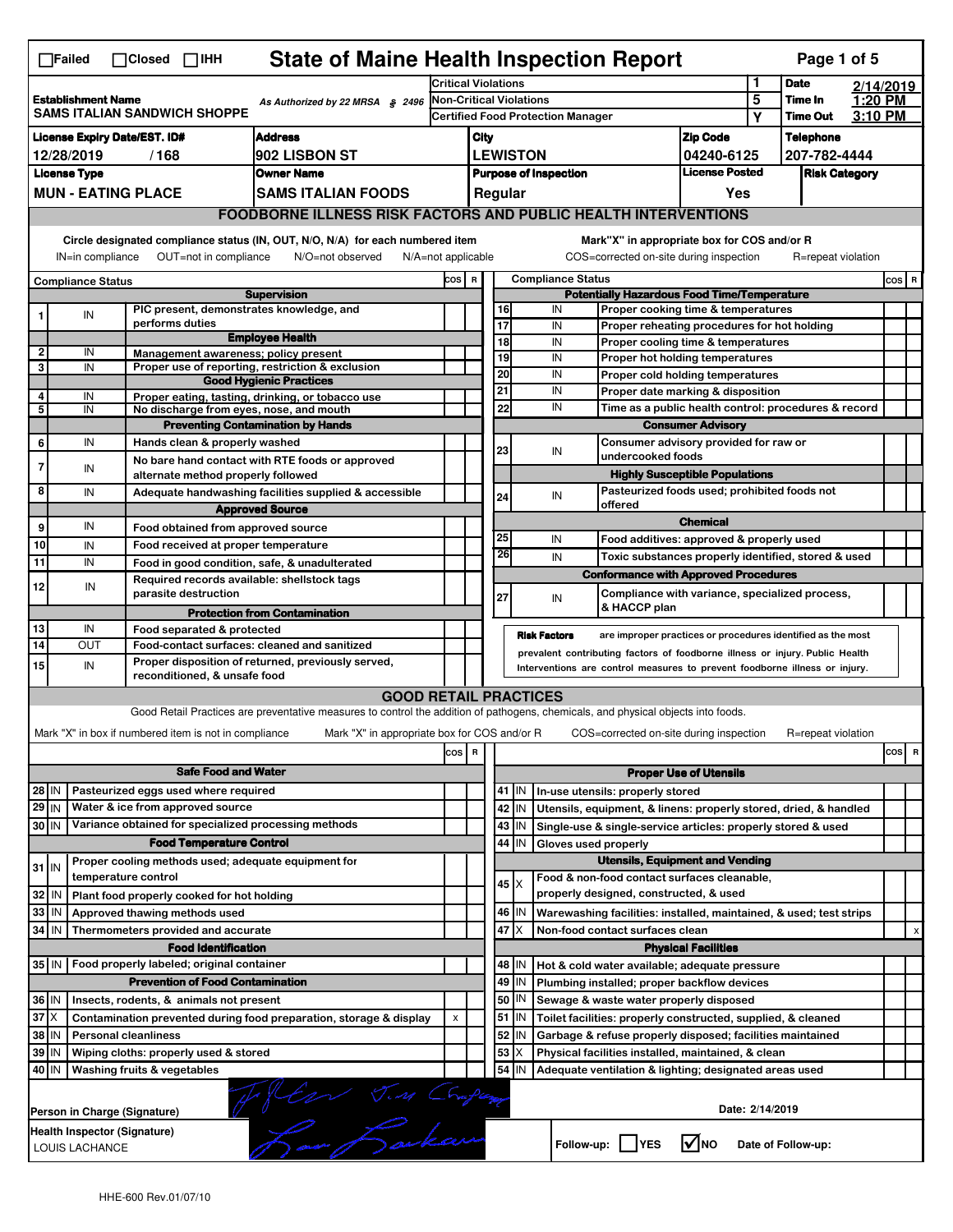|                                                                       | <b>State of Maine Health Inspection Report</b><br>Page 1 of 5<br>$\Box$ Failed<br>$\Box$ Closed $\Box$ IHH                                                                |                                                                     |                                                                                                                                   |                                         |                                            |             |                 |                          |                                                                                        |                                       |        |                            |         |           |
|-----------------------------------------------------------------------|---------------------------------------------------------------------------------------------------------------------------------------------------------------------------|---------------------------------------------------------------------|-----------------------------------------------------------------------------------------------------------------------------------|-----------------------------------------|--------------------------------------------|-------------|-----------------|--------------------------|----------------------------------------------------------------------------------------|---------------------------------------|--------|----------------------------|---------|-----------|
|                                                                       |                                                                                                                                                                           |                                                                     |                                                                                                                                   | <b>Critical Violations</b>              |                                            |             |                 |                          |                                                                                        |                                       | 1<br>5 | <b>Date</b>                |         | 2/14/2019 |
|                                                                       | <b>Establishment Name</b><br>As Authorized by 22 MRSA § 2496<br>SAMS ITALIAN SANDWICH SHOPPE                                                                              |                                                                     |                                                                                                                                   |                                         | <b>Non-Critical Violations</b>             |             |                 |                          |                                                                                        |                                       |        | Time In<br><b>Time Out</b> | 1:20 PM |           |
|                                                                       |                                                                                                                                                                           |                                                                     |                                                                                                                                   |                                         | <b>Certified Food Protection Manager</b>   |             |                 |                          |                                                                                        |                                       | Y      |                            | 3:10 PM |           |
| <b>License Expiry Date/EST. ID#</b><br><b>Address</b>                 |                                                                                                                                                                           |                                                                     |                                                                                                                                   |                                         | <b>Zip Code</b><br>City<br><b>LEWISTON</b> |             |                 |                          |                                                                                        | <b>Telephone</b>                      |        |                            |         |           |
| 902 LISBON ST<br>12/28/2019<br>/168                                   |                                                                                                                                                                           |                                                                     |                                                                                                                                   |                                         |                                            |             |                 |                          |                                                                                        | 04240-6125<br><b>License Posted</b>   |        | 207-782-4444               |         |           |
| <b>License Type</b><br><b>Owner Name</b><br><b>MUN - EATING PLACE</b> |                                                                                                                                                                           |                                                                     |                                                                                                                                   | <b>Purpose of Inspection</b><br>Regular |                                            |             |                 |                          |                                                                                        | <b>Risk Category</b>                  |        |                            |         |           |
|                                                                       |                                                                                                                                                                           |                                                                     | <b>SAMS ITALIAN FOODS</b>                                                                                                         |                                         |                                            |             |                 |                          |                                                                                        | Yes                                   |        |                            |         |           |
|                                                                       | <b>FOODBORNE ILLNESS RISK FACTORS AND PUBLIC HEALTH INTERVENTIONS</b>                                                                                                     |                                                                     |                                                                                                                                   |                                         |                                            |             |                 |                          |                                                                                        |                                       |        |                            |         |           |
|                                                                       | Circle designated compliance status (IN, OUT, N/O, N/A) for each numbered item<br>OUT=not in compliance<br>IN=in compliance<br>N/O=not observed<br>$N/A = not$ applicable |                                                                     |                                                                                                                                   |                                         |                                            |             |                 |                          | Mark"X" in appropriate box for COS and/or R<br>COS=corrected on-site during inspection |                                       |        | R=repeat violation         |         |           |
|                                                                       | Compliance Status                                                                                                                                                         |                                                                     |                                                                                                                                   |                                         | COS R                                      |             |                 | <b>Compliance Status</b> |                                                                                        |                                       |        |                            |         | $cos$ R   |
|                                                                       |                                                                                                                                                                           |                                                                     | <b>Supervision</b>                                                                                                                |                                         |                                            |             |                 |                          | <b>Potentially Hazardous Food Time/Temperature</b>                                     |                                       |        |                            |         |           |
| 1                                                                     | IN                                                                                                                                                                        | PIC present, demonstrates knowledge, and                            |                                                                                                                                   |                                         |                                            | 16          |                 | IN                       | Proper cooking time & temperatures                                                     |                                       |        |                            |         |           |
|                                                                       |                                                                                                                                                                           | performs duties                                                     | <b>Employee Health</b>                                                                                                            |                                         |                                            | 17<br>18    |                 | IN<br>IN                 | Proper reheating procedures for hot holding<br>Proper cooling time & temperatures      |                                       |        |                            |         |           |
| 2                                                                     | IN                                                                                                                                                                        | Management awareness; policy present                                |                                                                                                                                   |                                         |                                            | 19          |                 | IN                       | Proper hot holding temperatures                                                        |                                       |        |                            |         |           |
| 3                                                                     | IN                                                                                                                                                                        |                                                                     | Proper use of reporting, restriction & exclusion                                                                                  |                                         |                                            | 20          |                 | IN                       | Proper cold holding temperatures                                                       |                                       |        |                            |         |           |
| 4                                                                     | IN                                                                                                                                                                        |                                                                     | <b>Good Hygienic Practices</b><br>Proper eating, tasting, drinking, or tobacco use                                                |                                         |                                            | 21          |                 | IN                       | Proper date marking & disposition                                                      |                                       |        |                            |         |           |
| 5                                                                     | IN                                                                                                                                                                        | No discharge from eyes, nose, and mouth                             |                                                                                                                                   |                                         |                                            | 22          |                 | IN                       | Time as a public health control: procedures & record                                   |                                       |        |                            |         |           |
|                                                                       |                                                                                                                                                                           |                                                                     | <b>Preventing Contamination by Hands</b>                                                                                          |                                         |                                            |             |                 |                          |                                                                                        | <b>Consumer Advisory</b>              |        |                            |         |           |
| 6                                                                     | IN                                                                                                                                                                        | Hands clean & properly washed                                       |                                                                                                                                   |                                         |                                            | 23          |                 |                          | Consumer advisory provided for raw or                                                  |                                       |        |                            |         |           |
| 7                                                                     | IN                                                                                                                                                                        |                                                                     | No bare hand contact with RTE foods or approved                                                                                   |                                         |                                            |             |                 | IN                       | undercooked foods                                                                      |                                       |        |                            |         |           |
|                                                                       |                                                                                                                                                                           | alternate method properly followed                                  |                                                                                                                                   |                                         |                                            |             |                 |                          |                                                                                        | <b>Highly Susceptible Populations</b> |        |                            |         |           |
| 8                                                                     | IN                                                                                                                                                                        |                                                                     | Adequate handwashing facilities supplied & accessible                                                                             |                                         |                                            | 24          |                 | IN                       | Pasteurized foods used; prohibited foods not<br>offered                                |                                       |        |                            |         |           |
|                                                                       |                                                                                                                                                                           |                                                                     | <b>Approved Source</b>                                                                                                            |                                         |                                            |             |                 |                          |                                                                                        | <b>Chemical</b>                       |        |                            |         |           |
| 9                                                                     | IN                                                                                                                                                                        | Food obtained from approved source                                  |                                                                                                                                   |                                         |                                            | 25          |                 | IN                       | Food additives: approved & properly used                                               |                                       |        |                            |         |           |
| 10                                                                    | IN                                                                                                                                                                        | Food received at proper temperature                                 |                                                                                                                                   |                                         |                                            | 26          |                 | IN                       | Toxic substances properly identified, stored & used                                    |                                       |        |                            |         |           |
| 11                                                                    | IN                                                                                                                                                                        |                                                                     | Food in good condition, safe, & unadulterated                                                                                     |                                         |                                            |             |                 |                          | <b>Conformance with Approved Procedures</b>                                            |                                       |        |                            |         |           |
| 12                                                                    | IN                                                                                                                                                                        | Required records available: shellstock tags<br>parasite destruction |                                                                                                                                   |                                         |                                            |             |                 |                          | Compliance with variance, specialized process,                                         |                                       |        |                            |         |           |
|                                                                       |                                                                                                                                                                           |                                                                     |                                                                                                                                   |                                         |                                            | 27          |                 | IN                       |                                                                                        |                                       |        |                            |         |           |
|                                                                       |                                                                                                                                                                           |                                                                     |                                                                                                                                   |                                         |                                            |             |                 |                          | & HACCP plan                                                                           |                                       |        |                            |         |           |
|                                                                       |                                                                                                                                                                           |                                                                     | <b>Protection from Contamination</b>                                                                                              |                                         |                                            |             |                 |                          |                                                                                        |                                       |        |                            |         |           |
| 13<br>14                                                              | IN<br>OUT                                                                                                                                                                 | Food separated & protected                                          | Food-contact surfaces: cleaned and sanitized                                                                                      |                                         |                                            |             |                 | <b>Risk Factors</b>      | are improper practices or procedures identified as the most                            |                                       |        |                            |         |           |
|                                                                       |                                                                                                                                                                           |                                                                     | Proper disposition of returned, previously served,                                                                                |                                         |                                            |             |                 |                          | prevalent contributing factors of foodborne illness or injury. Public Health           |                                       |        |                            |         |           |
| 15                                                                    | IN                                                                                                                                                                        | reconditioned, & unsafe food                                        |                                                                                                                                   |                                         |                                            |             |                 |                          | Interventions are control measures to prevent foodborne illness or injury.             |                                       |        |                            |         |           |
|                                                                       |                                                                                                                                                                           |                                                                     | <b>GOOD RETAIL PRACTICES</b>                                                                                                      |                                         |                                            |             |                 |                          |                                                                                        |                                       |        |                            |         |           |
|                                                                       |                                                                                                                                                                           |                                                                     | Good Retail Practices are preventative measures to control the addition of pathogens, chemicals, and physical objects into foods. |                                         |                                            |             |                 |                          |                                                                                        |                                       |        |                            |         |           |
|                                                                       |                                                                                                                                                                           | Mark "X" in box if numbered item is not in compliance               | Mark "X" in appropriate box for COS and/or R                                                                                      |                                         |                                            |             |                 |                          | COS=corrected on-site during inspection                                                |                                       |        | R=repeat violation         |         |           |
|                                                                       |                                                                                                                                                                           |                                                                     |                                                                                                                                   | cos R                                   |                                            |             |                 |                          |                                                                                        |                                       |        |                            |         | cos<br>R  |
|                                                                       |                                                                                                                                                                           | <b>Safe Food and Water</b>                                          |                                                                                                                                   |                                         |                                            |             |                 |                          |                                                                                        | <b>Proper Use of Utensils</b>         |        |                            |         |           |
| 28 IN                                                                 |                                                                                                                                                                           | Pasteurized eggs used where required                                |                                                                                                                                   |                                         |                                            |             | 41 J IN         |                          | In-use utensils: properly stored                                                       |                                       |        |                            |         |           |
| 29 IN                                                                 |                                                                                                                                                                           | Water & ice from approved source                                    |                                                                                                                                   |                                         |                                            |             | 42 IN           |                          | Utensils, equipment, & linens: properly stored, dried, & handled                       |                                       |        |                            |         |           |
| 30 IN                                                                 |                                                                                                                                                                           | Variance obtained for specialized processing methods                |                                                                                                                                   |                                         |                                            |             | 43 IN           |                          | Single-use & single-service articles: properly stored & used                           |                                       |        |                            |         |           |
|                                                                       |                                                                                                                                                                           | <b>Food Temperature Control</b>                                     |                                                                                                                                   |                                         |                                            | 44          | IN              | Gloves used properly     |                                                                                        |                                       |        |                            |         |           |
| $31$ IN                                                               |                                                                                                                                                                           | Proper cooling methods used; adequate equipment for                 |                                                                                                                                   |                                         |                                            |             |                 |                          | <b>Utensils, Equipment and Vending</b>                                                 |                                       |        |                            |         |           |
|                                                                       |                                                                                                                                                                           | temperature control                                                 |                                                                                                                                   |                                         |                                            | $45 \times$ |                 |                          | Food & non-food contact surfaces cleanable,                                            |                                       |        |                            |         |           |
| 32 IN                                                                 |                                                                                                                                                                           | Plant food properly cooked for hot holding                          |                                                                                                                                   |                                         |                                            |             |                 |                          | properly designed, constructed, & used                                                 |                                       |        |                            |         |           |
| 33 IN                                                                 |                                                                                                                                                                           | Approved thawing methods used                                       |                                                                                                                                   |                                         |                                            |             | 46   IN         |                          | Warewashing facilities: installed, maintained, & used; test strips                     |                                       |        |                            |         |           |
| 34 IN                                                                 |                                                                                                                                                                           | Thermometers provided and accurate                                  |                                                                                                                                   |                                         |                                            | 47 I X      |                 |                          | Non-food contact surfaces clean                                                        |                                       |        |                            |         | X         |
|                                                                       |                                                                                                                                                                           | <b>Food Identification</b>                                          |                                                                                                                                   |                                         |                                            |             |                 |                          |                                                                                        | <b>Physical Facilities</b>            |        |                            |         |           |
|                                                                       |                                                                                                                                                                           | 35 IN   Food properly labeled; original container                   |                                                                                                                                   |                                         |                                            |             | 48   IN         |                          | Hot & cold water available; adequate pressure                                          |                                       |        |                            |         |           |
|                                                                       |                                                                                                                                                                           | <b>Prevention of Food Contamination</b>                             |                                                                                                                                   |                                         |                                            | 49          | IN              |                          | Plumbing installed; proper backflow devices                                            |                                       |        |                            |         |           |
| 36 IN                                                                 |                                                                                                                                                                           | Insects, rodents, & animals not present                             |                                                                                                                                   |                                         |                                            | 50          | IN.             |                          | Sewage & waste water properly disposed                                                 |                                       |        |                            |         |           |
| $37$ $\times$                                                         |                                                                                                                                                                           |                                                                     | Contamination prevented during food preparation, storage & display                                                                | $\pmb{\chi}$                            |                                            |             | $51$ $\vert$ IN |                          | Toilet facilities: properly constructed, supplied, & cleaned                           |                                       |        |                            |         |           |
| 38 IN                                                                 |                                                                                                                                                                           | <b>Personal cleanliness</b>                                         |                                                                                                                                   |                                         |                                            | 52          | IN              |                          | Garbage & refuse properly disposed; facilities maintained                              |                                       |        |                            |         |           |
| 39 IN                                                                 |                                                                                                                                                                           | Wiping cloths: properly used & stored                               |                                                                                                                                   |                                         |                                            | 53          | X               |                          | Physical facilities installed, maintained, & clean                                     |                                       |        |                            |         |           |
| 40 IN                                                                 |                                                                                                                                                                           | Washing fruits & vegetables                                         |                                                                                                                                   |                                         |                                            | 54          | IN              |                          | Adequate ventilation & lighting; designated areas used                                 |                                       |        |                            |         |           |
|                                                                       |                                                                                                                                                                           |                                                                     |                                                                                                                                   |                                         |                                            |             |                 |                          |                                                                                        |                                       |        |                            |         |           |
|                                                                       |                                                                                                                                                                           | Person in Charge (Signature)                                        |                                                                                                                                   |                                         |                                            |             |                 |                          |                                                                                        | Date: 2/14/2019                       |        |                            |         |           |
|                                                                       | LOUIS LACHANCE                                                                                                                                                            | Health Inspector (Signature)                                        | Merre J. M Crapen                                                                                                                 |                                         |                                            |             |                 |                          | Follow-up:     YES                                                                     | $\sqrt{\ }$ NO                        |        | Date of Follow-up:         |         |           |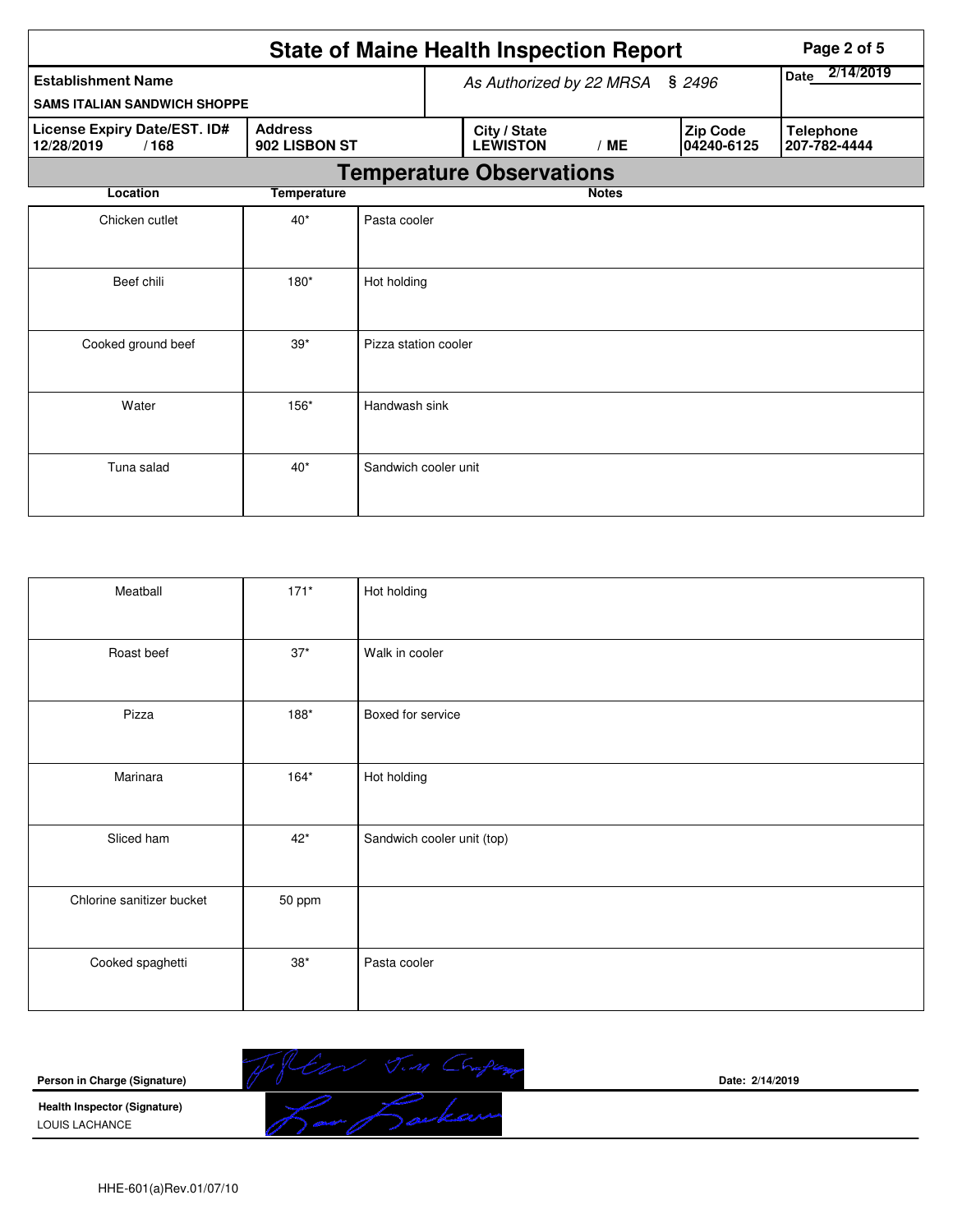|                                                    | <b>State of Maine Health Inspection Report</b> |                      |  |                                 |                   | Page 2 of 5 |                        |                                  |
|----------------------------------------------------|------------------------------------------------|----------------------|--|---------------------------------|-------------------|-------------|------------------------|----------------------------------|
| <b>Establishment Name</b>                          |                                                |                      |  | As Authorized by 22 MRSA        | 2/14/2019<br>Date |             |                        |                                  |
| <b>SAMS ITALIAN SANDWICH SHOPPE</b>                |                                                |                      |  |                                 |                   |             |                        |                                  |
| License Expiry Date/EST. ID#<br>12/28/2019<br>/168 | <b>Address</b><br>902 LISBON ST                |                      |  | City / State<br><b>LEWISTON</b> | /ME               |             | Zip Code<br>04240-6125 | <b>Telephone</b><br>207-782-4444 |
|                                                    |                                                |                      |  | <b>Temperature Observations</b> |                   |             |                        |                                  |
| Location                                           | <b>Temperature</b>                             |                      |  |                                 | <b>Notes</b>      |             |                        |                                  |
| Chicken cutlet                                     | $40*$                                          | Pasta cooler         |  |                                 |                   |             |                        |                                  |
| Beef chili                                         | 180*                                           | Hot holding          |  |                                 |                   |             |                        |                                  |
| Cooked ground beef                                 | $39*$                                          | Pizza station cooler |  |                                 |                   |             |                        |                                  |
| Water                                              | 156*                                           | Handwash sink        |  |                                 |                   |             |                        |                                  |
| Tuna salad                                         | $40*$                                          | Sandwich cooler unit |  |                                 |                   |             |                        |                                  |

| Meatball                  | $171*$       | Hot holding                |
|---------------------------|--------------|----------------------------|
| Roast beef                | $37*$        | Walk in cooler             |
| Pizza                     | $188*$       | Boxed for service          |
| Marinara                  | $164*$       | Hot holding                |
| Sliced ham                | $42*$        | Sandwich cooler unit (top) |
| Chlorine sanitizer bucket | 50 ppm       |                            |
| Cooked spaghetti          | $38^{\star}$ | Pasta cooler               |

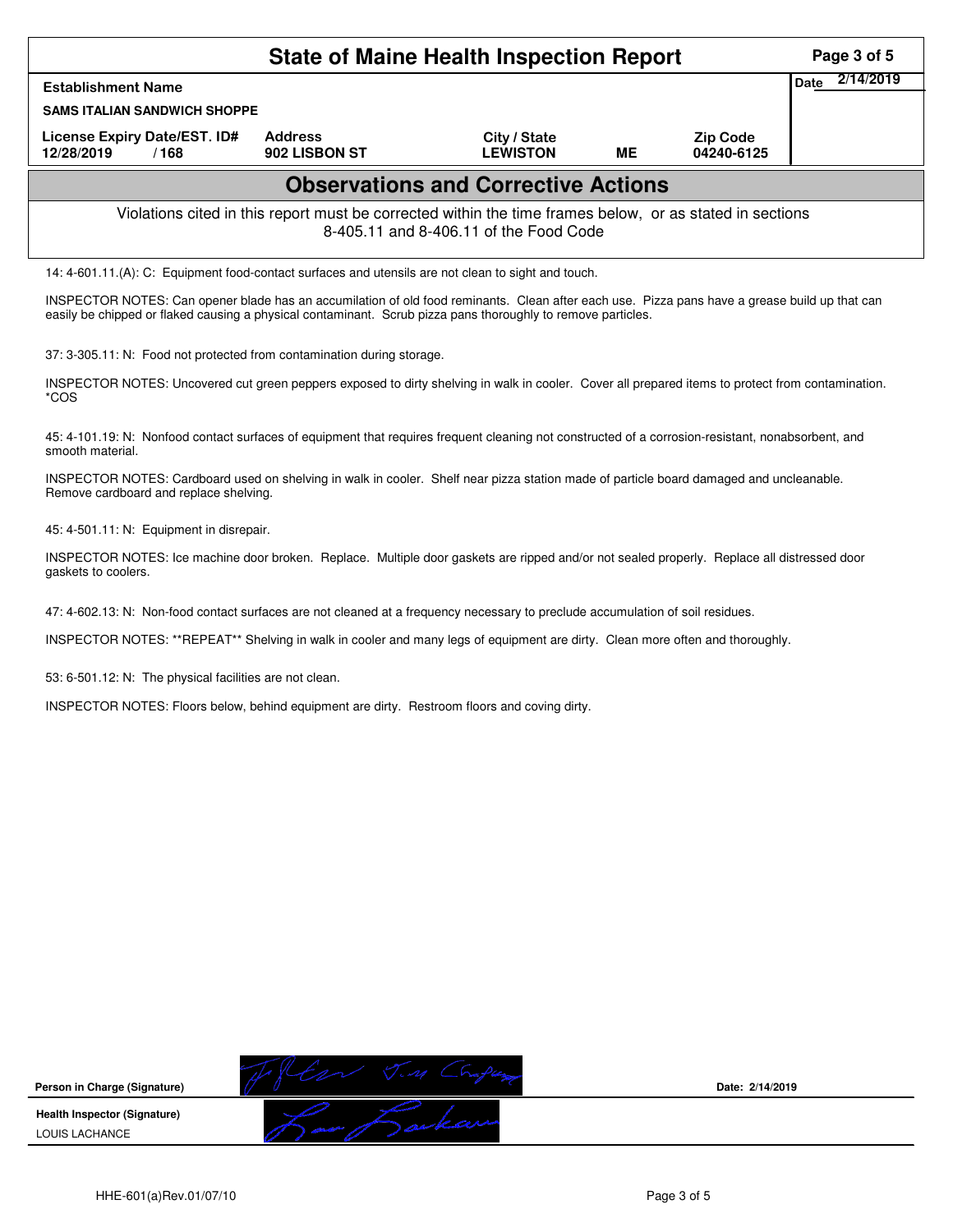| <b>State of Maine Health Inspection Report</b>                                                                                                     |                                                                                                                                                                                                                                                               |                                                                                                                                                   |                                            |    |                               |  | Page 3 of 5 |  |
|----------------------------------------------------------------------------------------------------------------------------------------------------|---------------------------------------------------------------------------------------------------------------------------------------------------------------------------------------------------------------------------------------------------------------|---------------------------------------------------------------------------------------------------------------------------------------------------|--------------------------------------------|----|-------------------------------|--|-------------|--|
| <b>Establishment Name</b>                                                                                                                          | 2/14/2019<br>Date                                                                                                                                                                                                                                             |                                                                                                                                                   |                                            |    |                               |  |             |  |
| <b>SAMS ITALIAN SANDWICH SHOPPE</b>                                                                                                                |                                                                                                                                                                                                                                                               |                                                                                                                                                   |                                            |    |                               |  |             |  |
| License Expiry Date/EST. ID#<br>12/28/2019                                                                                                         | /168                                                                                                                                                                                                                                                          | <b>Address</b><br>902 LISBON ST                                                                                                                   | City / State<br><b>LEWISTON</b>            | ME | <b>Zip Code</b><br>04240-6125 |  |             |  |
|                                                                                                                                                    |                                                                                                                                                                                                                                                               |                                                                                                                                                   | <b>Observations and Corrective Actions</b> |    |                               |  |             |  |
| Violations cited in this report must be corrected within the time frames below, or as stated in sections<br>8-405.11 and 8-406.11 of the Food Code |                                                                                                                                                                                                                                                               |                                                                                                                                                   |                                            |    |                               |  |             |  |
|                                                                                                                                                    | 14: 4-601.11.(A): C: Equipment food-contact surfaces and utensils are not clean to sight and touch.                                                                                                                                                           |                                                                                                                                                   |                                            |    |                               |  |             |  |
|                                                                                                                                                    | INSPECTOR NOTES: Can opener blade has an accumilation of old food reminants. Clean after each use. Pizza pans have a grease build up that can<br>easily be chipped or flaked causing a physical contaminant. Scrub pizza pans thoroughly to remove particles. |                                                                                                                                                   |                                            |    |                               |  |             |  |
|                                                                                                                                                    |                                                                                                                                                                                                                                                               | 37: 3-305.11: N: Food not protected from contamination during storage.                                                                            |                                            |    |                               |  |             |  |
| *COS                                                                                                                                               |                                                                                                                                                                                                                                                               | INSPECTOR NOTES: Uncovered cut green peppers exposed to dirty shelving in walk in cooler. Cover all prepared items to protect from contamination. |                                            |    |                               |  |             |  |

45: 4-101.19: N: Nonfood contact surfaces of equipment that requires frequent cleaning not constructed of a corrosion-resistant, nonabsorbent, and smooth material.

INSPECTOR NOTES: Cardboard used on shelving in walk in cooler. Shelf near pizza station made of particle board damaged and uncleanable. Remove cardboard and replace shelving.

45: 4-501.11: N: Equipment in disrepair.

INSPECTOR NOTES: Ice machine door broken. Replace. Multiple door gaskets are ripped and/or not sealed properly. Replace all distressed door gaskets to coolers.

47: 4-602.13: N: Non-food contact surfaces are not cleaned at a frequency necessary to preclude accumulation of soil residues.

INSPECTOR NOTES: \*\*REPEAT\*\* Shelving in walk in cooler and many legs of equipment are dirty. Clean more often and thoroughly.

53: 6-501.12: N: The physical facilities are not clean.

INSPECTOR NOTES: Floors below, behind equipment are dirty. Restroom floors and coving dirty.



**Date: 2/14/2019**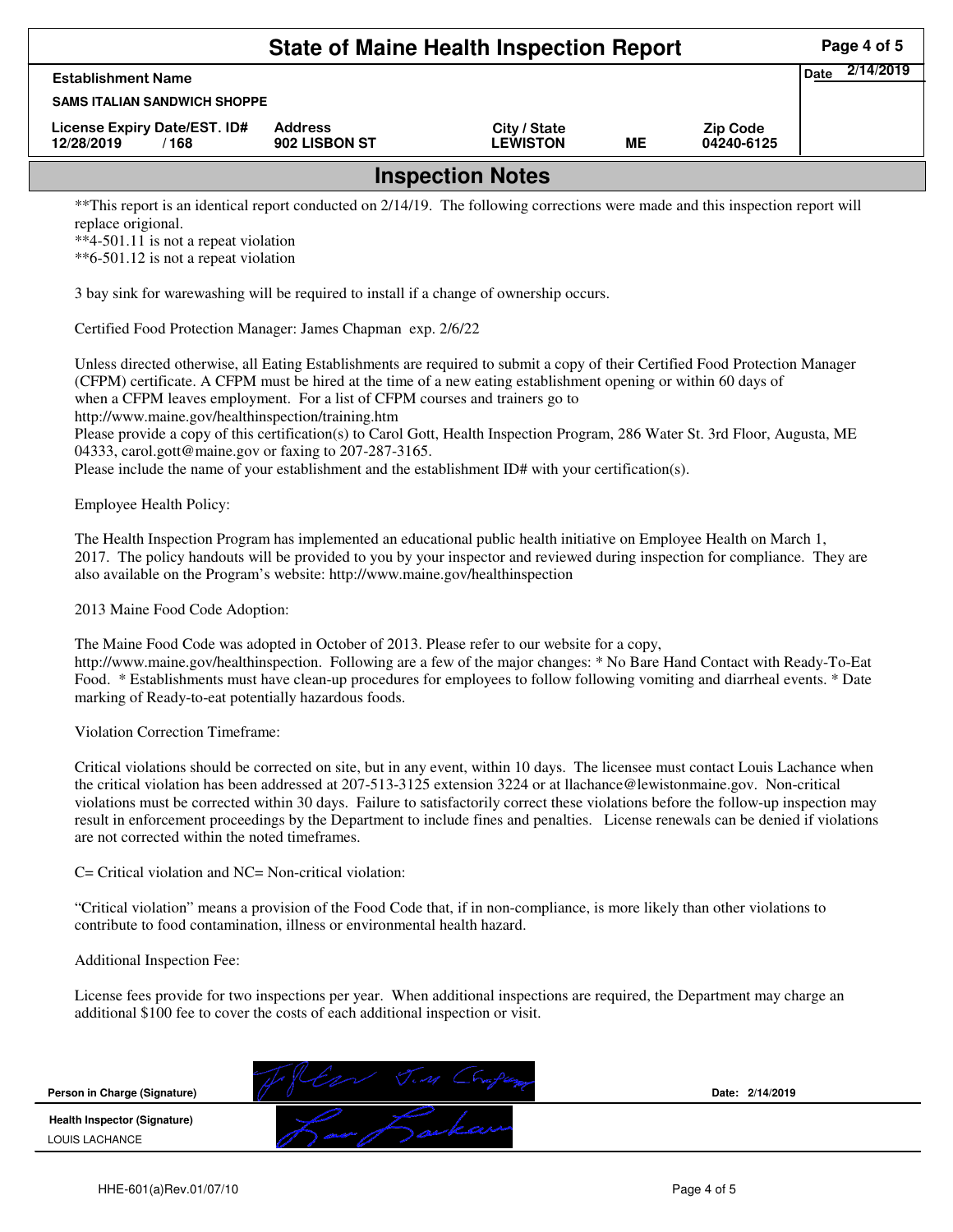|                                                                                                                                | Page 4 of 5                     |                                 |    |                               |                          |
|--------------------------------------------------------------------------------------------------------------------------------|---------------------------------|---------------------------------|----|-------------------------------|--------------------------|
| <b>Establishment Name</b>                                                                                                      |                                 |                                 |    |                               | 2/14/2019<br><b>Date</b> |
| <b>SAMS ITALIAN SANDWICH SHOPPE</b>                                                                                            |                                 |                                 |    |                               |                          |
| License Expiry Date/EST. ID#<br>12/28/2019<br>/168                                                                             | <b>Address</b><br>902 LISBON ST | City / State<br><b>LEWISTON</b> | ME | <b>Zip Code</b><br>04240-6125 |                          |
|                                                                                                                                |                                 | <b>Inspection Notes</b>         |    |                               |                          |
| **This report is an identical report conducted on 2/14/19. The following corrections were made and this inspection report will |                                 |                                 |    |                               |                          |

ucted on 2/14/19. The following corrections were made and this inspection report will replace origional.

\*\*4-501.11 is not a repeat violation

\*\*6-501.12 is not a repeat violation

3 bay sink for warewashing will be required to install if a change of ownership occurs.

Certified Food Protection Manager: James Chapman exp. 2/6/22

Unless directed otherwise, all Eating Establishments are required to submit a copy of their Certified Food Protection Manager (CFPM) certificate. A CFPM must be hired at the time of a new eating establishment opening or within 60 days of when a CFPM leaves employment. For a list of CFPM courses and trainers go to

http://www.maine.gov/healthinspection/training.htm

Please provide a copy of this certification(s) to Carol Gott, Health Inspection Program, 286 Water St. 3rd Floor, Augusta, ME 04333, carol.gott@maine.gov or faxing to 207-287-3165.

Please include the name of your establishment and the establishment ID# with your certification(s).

Employee Health Policy:

The Health Inspection Program has implemented an educational public health initiative on Employee Health on March 1, 2017. The policy handouts will be provided to you by your inspector and reviewed during inspection for compliance. They are also available on the Program's website: http://www.maine.gov/healthinspection

2013 Maine Food Code Adoption:

The Maine Food Code was adopted in October of 2013. Please refer to our website for a copy,

http://www.maine.gov/healthinspection. Following are a few of the major changes: \* No Bare Hand Contact with Ready-To-Eat Food. \* Establishments must have clean-up procedures for employees to follow following vomiting and diarrheal events. \* Date marking of Ready-to-eat potentially hazardous foods.

Violation Correction Timeframe:

Critical violations should be corrected on site, but in any event, within 10 days. The licensee must contact Louis Lachance when the critical violation has been addressed at 207-513-3125 extension 3224 or at llachance@lewistonmaine.gov. Non-critical violations must be corrected within 30 days. Failure to satisfactorily correct these violations before the follow-up inspection may result in enforcement proceedings by the Department to include fines and penalties. License renewals can be denied if violations are not corrected within the noted timeframes.

C= Critical violation and NC= Non-critical violation:

"Critical violation" means a provision of the Food Code that, if in non-compliance, is more likely than other violations to contribute to food contamination, illness or environmental health hazard.

Additional Inspection Fee:

License fees provide for two inspections per year. When additional inspections are required, the Department may charge an additional \$100 fee to cover the costs of each additional inspection or visit.